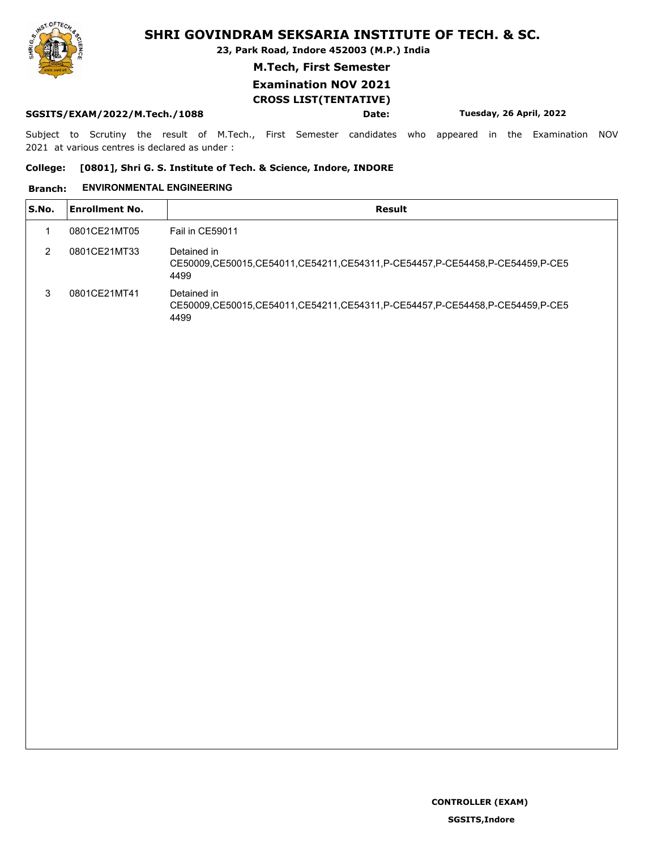**23, Park Road, Indore 452003 (M.P.) India**

**M.Tech, First Semester**

## **Examination NOV 2021 CROSS LIST(TENTATIVE)**

#### **SGSITS/EXAM/2022/M.Tech./1088 Date: Tuesday, 26 April, 2022**

Subject to Scrutiny the result of M.Tech., First Semester candidates who appeared in the Examination NOV 2021 at various centres is declared as under :

#### **College: [0801], Shri G. S. Institute of Tech. & Science, Indore, INDORE**

#### **Branch: ENVIRONMENTAL ENGINEERING**

| <b>Enrollment No.</b><br>Result<br>S.No.<br>0801CE21MT05<br>Fail in CE59011<br>2<br>0801CE21MT33<br>Detained in<br>CE50009.CE50015.CE54011.CE54211.CE54311.P-CE54457.P-CE54458.P-CE54459.P-CE5<br>4499<br>3<br>0801CE21MT41<br>Detained in<br>CE50009,CE50015,CE54011,CE54211,CE54311,P-CE54457,P-CE54458,P-CE54459,P-CE5<br>4499 |  |  |
|-----------------------------------------------------------------------------------------------------------------------------------------------------------------------------------------------------------------------------------------------------------------------------------------------------------------------------------|--|--|
|                                                                                                                                                                                                                                                                                                                                   |  |  |
|                                                                                                                                                                                                                                                                                                                                   |  |  |
|                                                                                                                                                                                                                                                                                                                                   |  |  |
|                                                                                                                                                                                                                                                                                                                                   |  |  |

**SGSITS,Indore**

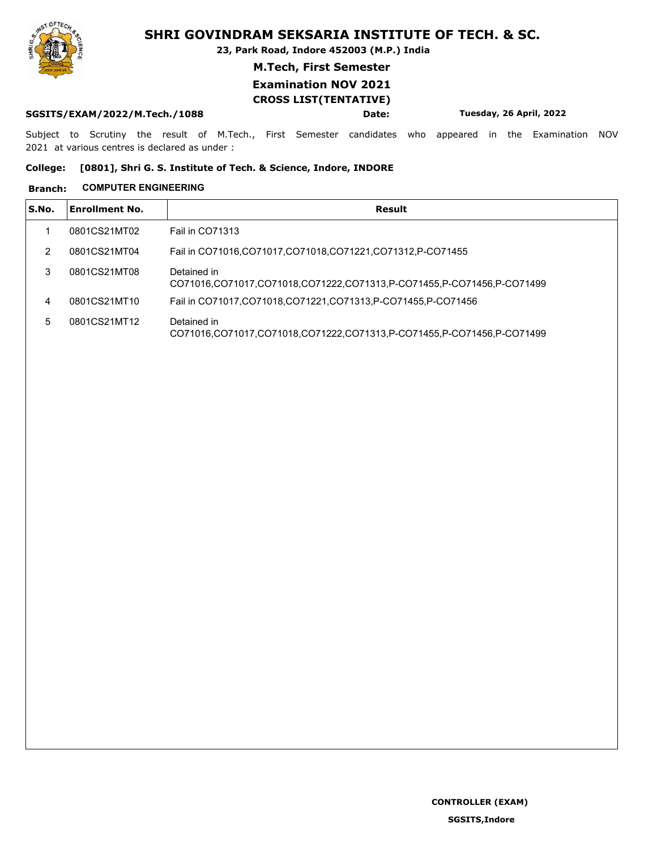**23, Park Road, Indore 452003 (M.P.) India**

**M.Tech, First Semester**

## **Examination NOV 2021 CROSS LIST(TENTATIVE)**

#### **SGSITS/EXAM/2022/M.Tech./1088 Date: Tuesday, 26 April, 2022**

Subject to Scrutiny the result of M.Tech., First Semester candidates who appeared in the Examination NOV 2021 at various centres is declared as under :

#### **College: [0801], Shri G. S. Institute of Tech. & Science, Indore, INDORE**

#### **Branch: COMPUTER ENGINEERING**

| S.No. | <b>Enrollment No.</b> | Result                                                                               |
|-------|-----------------------|--------------------------------------------------------------------------------------|
|       | 0801CS21MT02          | <b>Fail in CO71313</b>                                                               |
| 2     | 0801CS21MT04          | Fail in CO71016, CO71017, CO71018, CO71221, CO71312, P-CO71455                       |
| 3     | 0801CS21MT08          | Detained in<br>CO71016.CO71017.CO71018.CO71222.CO71313.P-CO71455.P-CO71456.P-CO71499 |
| 4     | 0801CS21MT10          | Fail in CO71017, CO71018, CO71221, CO71313, P-CO71455, P-CO71456                     |
| 5     | 0801CS21MT12          | Detained in<br>CO71016.CO71017.CO71018.CO71222.CO71313.P-CO71455.P-CO71456.P-CO71499 |

**SGSITS,Indore**

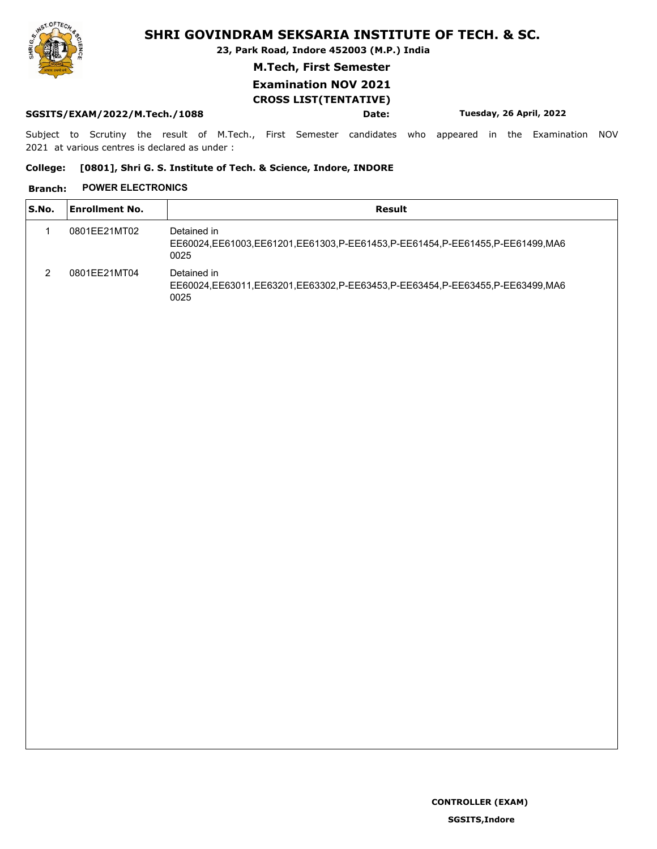**23, Park Road, Indore 452003 (M.P.) India**

**M.Tech, First Semester**

## **Examination NOV 2021 CROSS LIST(TENTATIVE)**

#### **SGSITS/EXAM/2022/M.Tech./1088 Date: Tuesday, 26 April, 2022**

Subject to Scrutiny the result of M.Tech., First Semester candidates who appeared in the Examination NOV 2021 at various centres is declared as under :

#### **College: [0801], Shri G. S. Institute of Tech. & Science, Indore, INDORE**

## **Branch: POWER ELECTRONICS**

| S.No. | <b>Enrollment No.</b> | Result                                                                                             |
|-------|-----------------------|----------------------------------------------------------------------------------------------------|
|       | 0801EE21MT02          | Detained in<br>EE60024,EE61003,EE61201,EE61303,P-EE61453,P-EE61454,P-EE61455,P-EE61499,MA6<br>0025 |
| 2     | 0801EE21MT04          | Detained in<br>EE60024,EE63011,EE63201,EE63302,P-EE63453,P-EE63454,P-EE63455,P-EE63499,MA6<br>0025 |

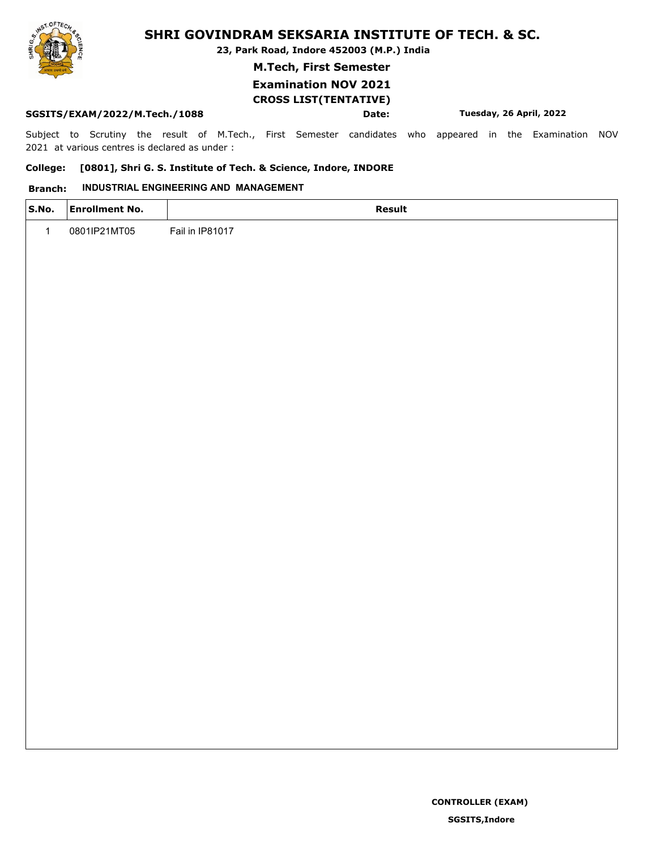**23, Park Road, Indore 452003 (M.P.) India**

**M.Tech, First Semester**

## **Examination NOV 2021 CROSS LIST(TENTATIVE)**

#### **SGSITS/EXAM/2022/M.Tech./1088 Date: Tuesday, 26 April, 2022**

Subject to Scrutiny the result of M.Tech., First Semester candidates who appeared in the Examination NOV 2021 at various centres is declared as under :

#### **College: [0801], Shri G. S. Institute of Tech. & Science, Indore, INDORE**

### **Branch: INDUSTRIAL ENGINEERING AND MANAGEMENT**

| S.No.        | <b>Enrollment No.</b> | Result          |
|--------------|-----------------------|-----------------|
| $\mathbf{1}$ | 0801IP21MT05          | Fail in IP81017 |
|              |                       |                 |
|              |                       |                 |
|              |                       |                 |
|              |                       |                 |
|              |                       |                 |
|              |                       |                 |
|              |                       |                 |
|              |                       |                 |
|              |                       |                 |
|              |                       |                 |
|              |                       |                 |
|              |                       |                 |
|              |                       |                 |

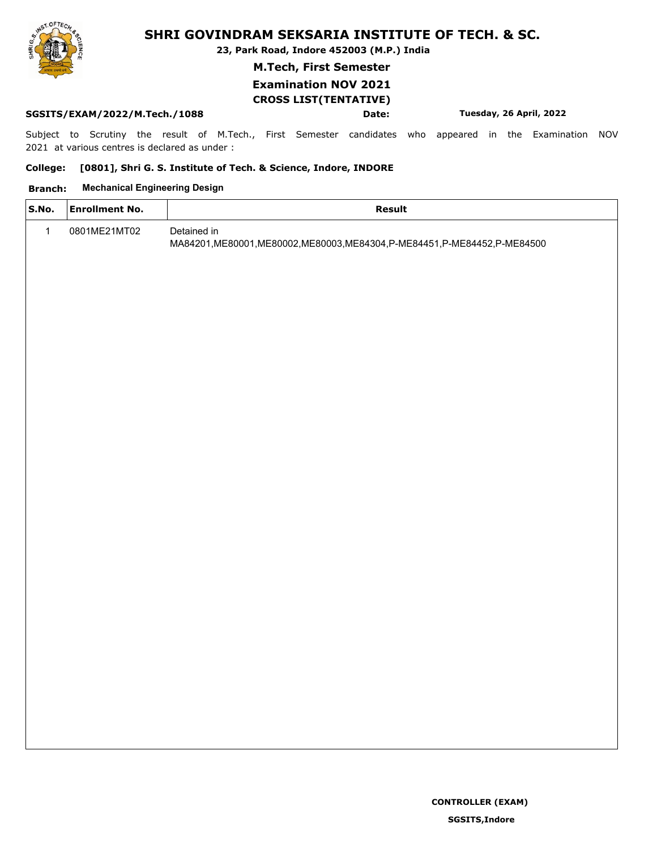**23, Park Road, Indore 452003 (M.P.) India**

**M.Tech, First Semester**

## **Examination NOV 2021 CROSS LIST(TENTATIVE)**

#### **SGSITS/EXAM/2022/M.Tech./1088 Date: Tuesday, 26 April, 2022**

Subject to Scrutiny the result of M.Tech., First Semester candidates who appeared in the Examination NOV 2021 at various centres is declared as under :

#### **College: [0801], Shri G. S. Institute of Tech. & Science, Indore, INDORE**

#### **Branch: Mechanical Engineering Design**

| S.No.        | <b>Enrollment No.</b> | <b>Result</b>                                                                               |  |
|--------------|-----------------------|---------------------------------------------------------------------------------------------|--|
| $\mathbf{1}$ | 0801ME21MT02          | Detained in<br>MA84201, ME80001, ME80002, ME80003, ME84304, P-ME84451, P-ME84452, P-ME84500 |  |
|              |                       |                                                                                             |  |
|              |                       |                                                                                             |  |
|              |                       |                                                                                             |  |
|              |                       |                                                                                             |  |
|              |                       |                                                                                             |  |
|              |                       |                                                                                             |  |
|              |                       |                                                                                             |  |
|              |                       |                                                                                             |  |
|              |                       |                                                                                             |  |
|              |                       |                                                                                             |  |
|              |                       |                                                                                             |  |
|              |                       |                                                                                             |  |
|              |                       |                                                                                             |  |
|              |                       |                                                                                             |  |



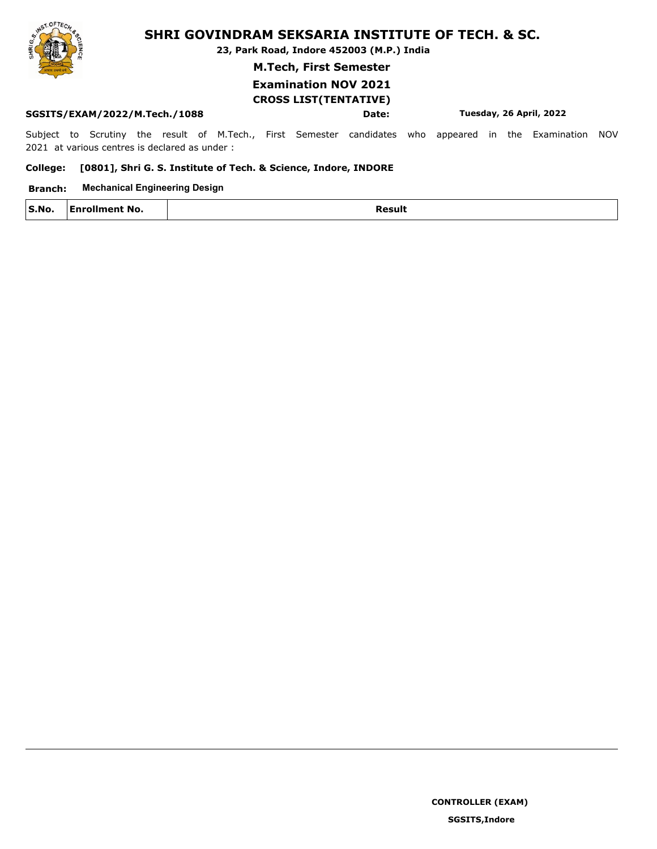**23, Park Road, Indore 452003 (M.P.) India**

**M.Tech, First Semester**

## **Examination NOV 2021 CROSS LIST(TENTATIVE)**

#### **SGSITS/EXAM/2022/M.Tech./1088 Date: Tuesday, 26 April, 2022**

Subject to Scrutiny the result of M.Tech., First Semester candidates who appeared in the Examination NOV 2021 at various centres is declared as under :

#### **College: [0801], Shri G. S. Institute of Tech. & Science, Indore, INDORE**

#### **Branch: Mechanical Engineering Design**

| S.No. | $\cdot$ No.<br>---- | lesult<br>. |
|-------|---------------------|-------------|
|       |                     |             |

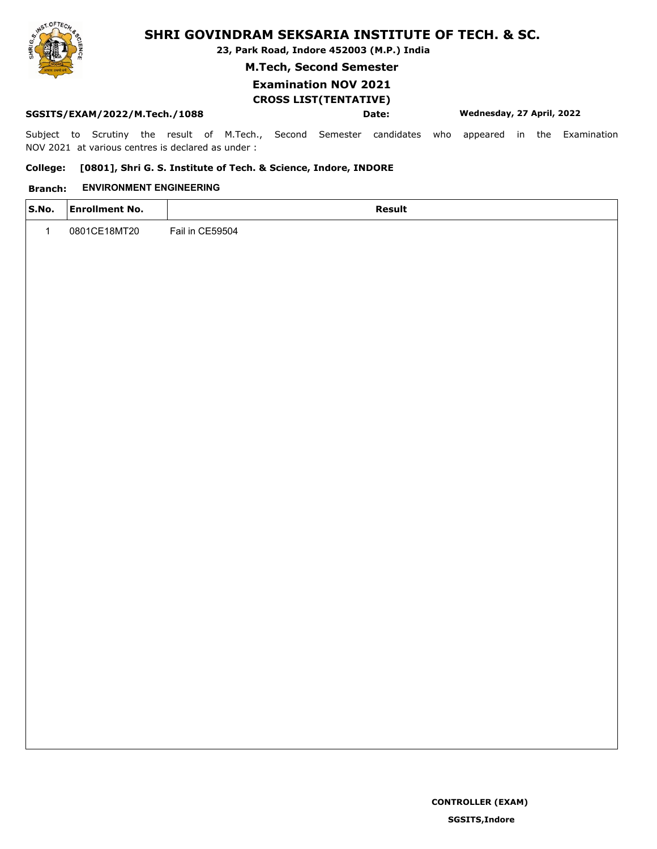**23, Park Road, Indore 452003 (M.P.) India**

**M.Tech, Second Semester**

## **Examination NOV 2021 CROSS LIST(TENTATIVE)**

#### **SGSITS/EXAM/2022/M.Tech./1088 Date: Wednesday, 27 April, 2022**

Subject to Scrutiny the result of M.Tech., Second Semester candidates who appeared in the Examination NOV 2021 at various centres is declared as under :

#### **College: [0801], Shri G. S. Institute of Tech. & Science, Indore, INDORE**

#### **Branch: ENVIRONMENT ENGINEERING**

| S.No. | <b>Enrollment No.</b> | Result          |
|-------|-----------------------|-----------------|
|       | 0801CE18MT20          | Fail in CE59504 |
|       |                       |                 |

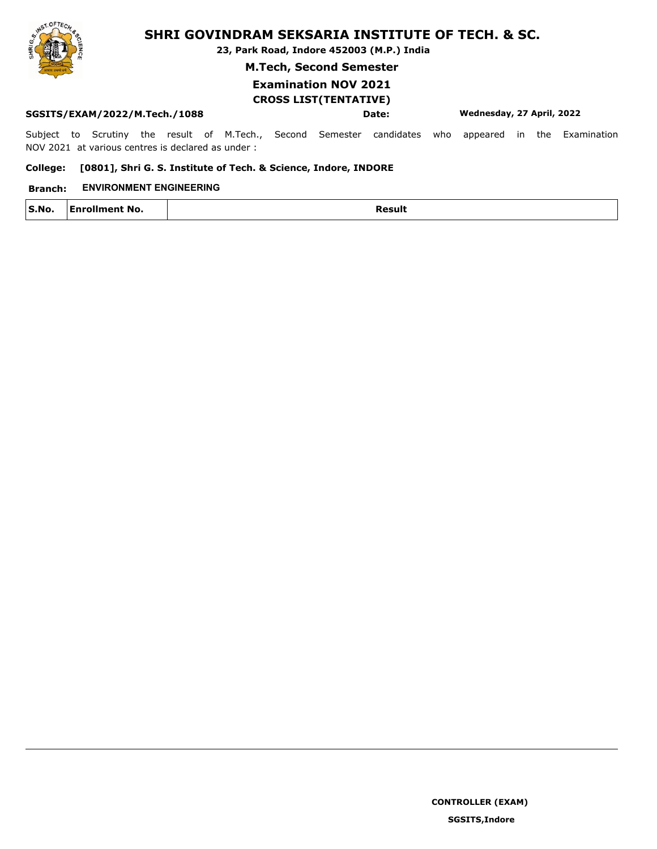

**23, Park Road, Indore 452003 (M.P.) India**

**M.Tech, Second Semester**

## **Examination NOV 2021 CROSS LIST(TENTATIVE)**

#### **SGSITS/EXAM/2022/M.Tech./1088 Date: Wednesday, 27 April, 2022**

Subject to Scrutiny the result of M.Tech., Second Semester candidates who appeared in the Examination NOV 2021 at various centres is declared as under :

#### **College: [0801], Shri G. S. Institute of Tech. & Science, Indore, INDORE**

#### **Branch: ENVIRONMENT ENGINEERING**

| S.No.<br>.3.110. | * No.<br>AΠ<br>חווה | 'חופם<br>____ |
|------------------|---------------------|---------------|
|                  |                     |               |

**SGSITS,Indore**